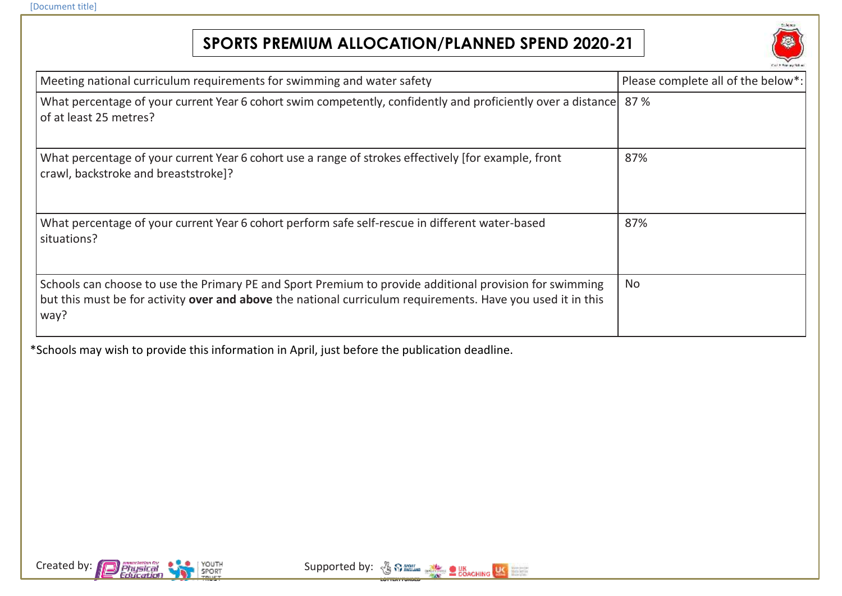## **SPORTS PREMIUM ALLOCATION/PLANNED SPEND 2020-21**



| Meeting national curriculum requirements for swimming and water safety                                                                                                                                                         | Please complete all of the below*: |
|--------------------------------------------------------------------------------------------------------------------------------------------------------------------------------------------------------------------------------|------------------------------------|
| What percentage of your current Year 6 cohort swim competently, confidently and proficiently over a distance<br>of at least 25 metres?                                                                                         | 87%                                |
| What percentage of your current Year 6 cohort use a range of strokes effectively [for example, front<br>crawl, backstroke and breaststroke]?                                                                                   | 87%                                |
| What percentage of your current Year 6 cohort perform safe self-rescue in different water-based<br>situations?                                                                                                                 | 87%                                |
| Schools can choose to use the Primary PE and Sport Premium to provide additional provision for swimming<br>but this must be for activity over and above the national curriculum requirements. Have you used it in this<br>way? | <b>No</b>                          |

\*Schools may wish to provide this information in April, just before the publication deadline.



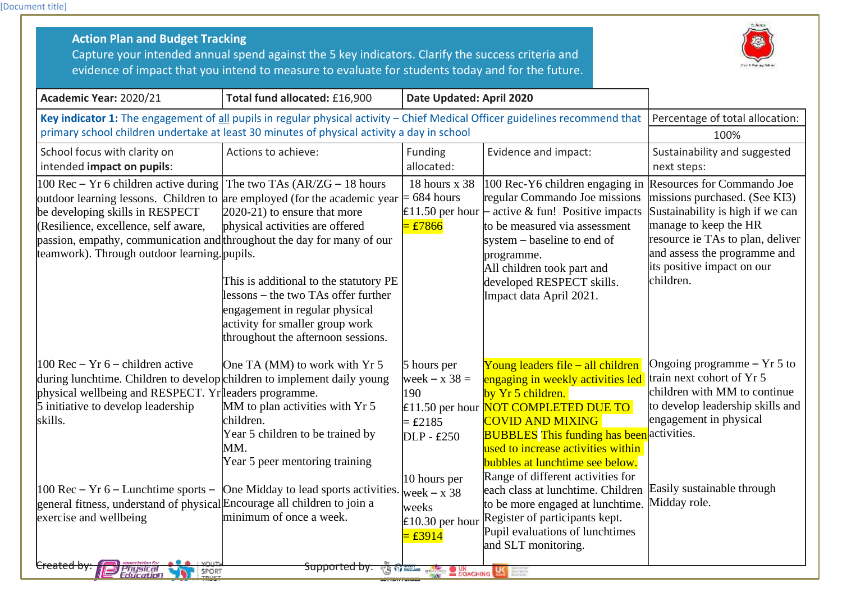[Document title]

| <b>Action Plan and Budget Tracking</b><br>Capture your intended annual spend against the 5 key indicators. Clarify the success criteria and<br>evidence of impact that you intend to measure to evaluate for students today and for the future.                                                                                                                        |                                                                                                                                                                                                                                                                                                 |                                                                                                                        |                                                                                                                                                                                                                                                                                                                                                                                                                                                                                                                              |                                                                                                                                                                                                                                         |
|------------------------------------------------------------------------------------------------------------------------------------------------------------------------------------------------------------------------------------------------------------------------------------------------------------------------------------------------------------------------|-------------------------------------------------------------------------------------------------------------------------------------------------------------------------------------------------------------------------------------------------------------------------------------------------|------------------------------------------------------------------------------------------------------------------------|------------------------------------------------------------------------------------------------------------------------------------------------------------------------------------------------------------------------------------------------------------------------------------------------------------------------------------------------------------------------------------------------------------------------------------------------------------------------------------------------------------------------------|-----------------------------------------------------------------------------------------------------------------------------------------------------------------------------------------------------------------------------------------|
| Academic Year: 2020/21                                                                                                                                                                                                                                                                                                                                                 | Total fund allocated: £16,900<br>Date Updated: April 2020                                                                                                                                                                                                                                       |                                                                                                                        |                                                                                                                                                                                                                                                                                                                                                                                                                                                                                                                              |                                                                                                                                                                                                                                         |
| Key indicator 1: The engagement of all pupils in regular physical activity - Chief Medical Officer guidelines recommend that<br>primary school children undertake at least 30 minutes of physical activity a day in school                                                                                                                                             |                                                                                                                                                                                                                                                                                                 |                                                                                                                        | Percentage of total allocation:<br>100%                                                                                                                                                                                                                                                                                                                                                                                                                                                                                      |                                                                                                                                                                                                                                         |
| School focus with clarity on<br>intended impact on pupils:                                                                                                                                                                                                                                                                                                             | Actions to achieve:                                                                                                                                                                                                                                                                             | <b>Funding</b><br>allocated:                                                                                           | Evidence and impact:                                                                                                                                                                                                                                                                                                                                                                                                                                                                                                         | Sustainability and suggested<br>next steps:                                                                                                                                                                                             |
| 100 Rec $-$ Yr 6 children active during<br>outdoor learning lessons. Children to are employed (for the academic year<br>be developing skills in RESPECT<br>(Resilience, excellence, self aware,<br>passion, empathy, communication and throughout the day for many of our<br>teamwork). Through outdoor learning . pupils.                                             | The two TAs $(AR/ZG - 18$ hours<br>$2020-21$ to ensure that more<br>physical activities are offered<br>This is additional to the statutory PE<br>lessons – the two TAs offer further<br>engagement in regular physical<br>activity for smaller group work<br>throughout the afternoon sessions. | 18 hours x 38<br>$= 684$ hours<br>$=$ £7866                                                                            | $ 100 \text{ Rec-Y6}$ children engaging in<br>regular Commando Joe missions<br><b>E11.50</b> per hour $\vdash$ active & fun! Positive impacts<br>to be measured via assessment<br>system – baseline to end of<br>programme.<br>All children took part and<br>developed RESPECT skills.<br>Impact data April 2021.                                                                                                                                                                                                            | Resources for Commando Joe<br>missions purchased. (See KI3)<br>Sustainability is high if we can<br>manage to keep the HR<br>resource ie TAs to plan, deliver<br>and assess the programme and<br>its positive impact on our<br>children. |
| $100$ Rec – Yr 6 – children active<br>during lunchtime. Children to develop children to implement daily young<br>physical wellbeing and RESPECT. Yr leaders programme.<br>5 initiative to develop leadership<br>skills.<br>$100$ Rec – Yr 6 – Lunchtime sports –<br>general fitness, understand of physical Encourage all children to join a<br>exercise and wellbeing | One TA (MM) to work with Yr 5<br>MM to plan activities with Yr 5<br>children.<br>Year 5 children to be trained by<br>MM.<br>Year 5 peer mentoring training<br>One Midday to lead sports activities.<br>minimum of once a week.                                                                  | 5 hours per<br>week $- x 38 =$<br>190<br>$=$ £2185<br>DLP - £250<br>10 hours per<br>week $-x$ 38<br>weeks<br>$=$ £3914 | Young leaders file - all children<br>engaging in weekly activities led<br>by Yr 5 children.<br>£11.50 per hour NOT COMPLETED DUE TO<br><b>COVID AND MIXING</b><br><b>BUBBLES</b> This funding has been activities.<br>used to increase activities within<br><b>bubbles at lunchtime see below.</b><br>Range of different activities for<br>each class at lunchtime. Children<br>to be more engaged at lunchtime.<br>£10.30 per hour Register of participants kept.<br>Pupil evaluations of lunchtimes<br>and SLT monitoring. | Ongoing programme $- Yr 5$ to<br>train next cohort of Yr 5<br>children with MM to continue<br>to develop leadership skills and<br>engagement in physical<br>Easily sustainable through<br>Midday role.                                  |
| <del>Created by</del><br>Physical<br>Education<br>SPORT<br>TRUCT                                                                                                                                                                                                                                                                                                       | <del>Supported by:</del>                                                                                                                                                                                                                                                                        | <b>26 OD THE STATE OF COACHING AND THE STATE</b>                                                                       |                                                                                                                                                                                                                                                                                                                                                                                                                                                                                                                              |                                                                                                                                                                                                                                         |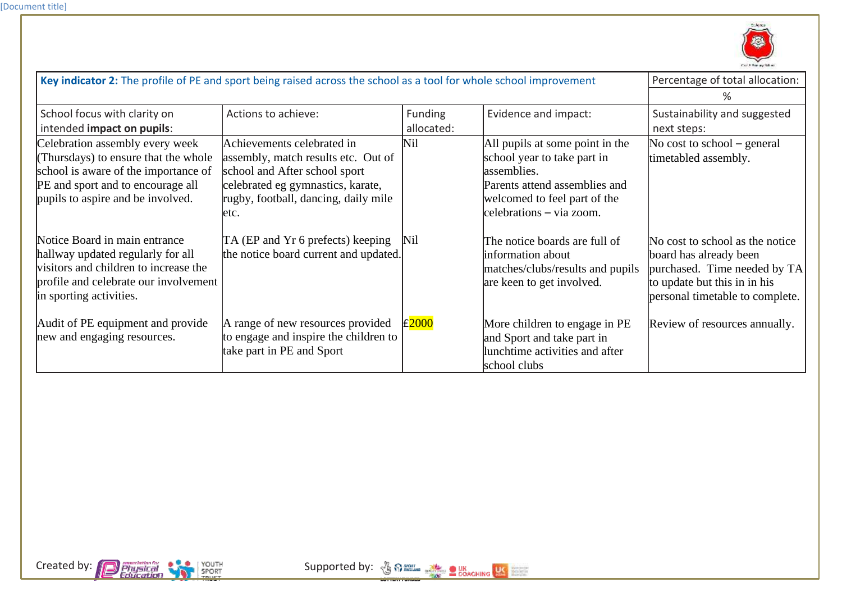

| Key indicator 2: The profile of PE and sport being raised across the school as a tool for whole school improvement                                                                       |                                                                                                                                                                                          |                              |                                                                                                                                                                            | Percentage of total allocation:                                                                                                                              |  |
|------------------------------------------------------------------------------------------------------------------------------------------------------------------------------------------|------------------------------------------------------------------------------------------------------------------------------------------------------------------------------------------|------------------------------|----------------------------------------------------------------------------------------------------------------------------------------------------------------------------|--------------------------------------------------------------------------------------------------------------------------------------------------------------|--|
|                                                                                                                                                                                          |                                                                                                                                                                                          |                              |                                                                                                                                                                            | ℅                                                                                                                                                            |  |
| School focus with clarity on<br>intended impact on pupils:                                                                                                                               | Actions to achieve:                                                                                                                                                                      | <b>Funding</b><br>allocated: | Evidence and impact:                                                                                                                                                       | Sustainability and suggested<br>next steps:                                                                                                                  |  |
| Celebration assembly every week<br>Thursdays) to ensure that the whole<br>school is aware of the importance of<br>PE and sport and to encourage all<br>pupils to aspire and be involved. | Achievements celebrated in<br>assembly, match results etc. Out of<br>school and After school sport<br>celebrated eg gymnastics, karate,<br>rugby, football, dancing, daily mile<br>letc. | <b>Nil</b>                   | All pupils at some point in the<br>school year to take part in<br>assemblies.<br>Parents attend assemblies and<br>welcomed to feel part of the<br>celebrations – via zoom. | No cost to school $-$ general<br>timetabled assembly.                                                                                                        |  |
| Notice Board in main entrance<br>hallway updated regularly for all<br>visitors and children to increase the<br>profile and celebrate our involvement<br>in sporting activities.          | TA (EP and Yr 6 prefects) keeping<br>the notice board current and updated.                                                                                                               | Nil                          | The notice boards are full of<br>information about<br>matches/clubs/results and pupils<br>are keen to get involved.                                                        | No cost to school as the notice<br>board has already been<br>purchased. Time needed by TA<br>to update but this in in his<br>personal timetable to complete. |  |
| Audit of PE equipment and provide<br>new and engaging resources.                                                                                                                         | A range of new resources provided<br>to engage and inspire the children to<br>take part in PE and Sport                                                                                  | £2000                        | More children to engage in PE<br>and Sport and take part in<br>lunchtime activities and after<br>school clubs                                                              | Review of resources annually.                                                                                                                                |  |

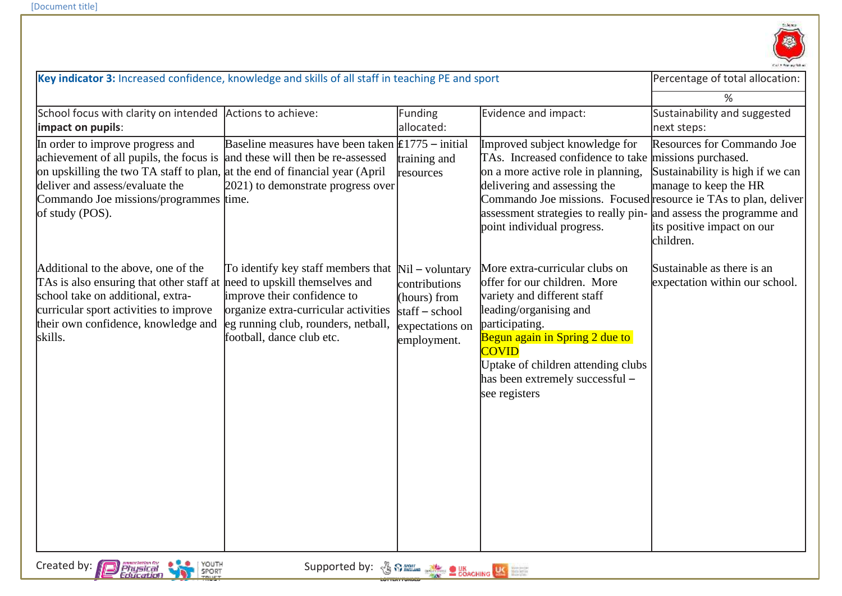

| %<br>School focus with clarity on intended<br>Actions to achieve:<br>Evidence and impact:<br>Sustainability and suggested<br>Funding<br>allocated:<br>impact on pupils:<br>next steps:<br>Baseline measures have been taken $\text{\pounds}1775$ – initial<br>Improved subject knowledge for<br>Resources for Commando Joe<br>In order to improve progress and<br>TAs. Increased confidence to take missions purchased.<br>achievement of all pupils, the focus is<br>and these will then be re-assessed<br>training and<br>on upskilling the two TA staff to plan, at the end of financial year (April<br>on a more active role in planning,<br>Sustainability is high if we can<br>resources<br>deliver and assess/evaluate the<br>manage to keep the HR<br>2021) to demonstrate progress over<br>delivering and assessing the<br>Commando Joe missions. Focused resource ie TAs to plan, deliver<br>Commando Joe missions/programmes time. |  |  |  |  |
|-----------------------------------------------------------------------------------------------------------------------------------------------------------------------------------------------------------------------------------------------------------------------------------------------------------------------------------------------------------------------------------------------------------------------------------------------------------------------------------------------------------------------------------------------------------------------------------------------------------------------------------------------------------------------------------------------------------------------------------------------------------------------------------------------------------------------------------------------------------------------------------------------------------------------------------------------|--|--|--|--|
|                                                                                                                                                                                                                                                                                                                                                                                                                                                                                                                                                                                                                                                                                                                                                                                                                                                                                                                                               |  |  |  |  |
|                                                                                                                                                                                                                                                                                                                                                                                                                                                                                                                                                                                                                                                                                                                                                                                                                                                                                                                                               |  |  |  |  |
| assessment strategies to really pin- and assess the programme and<br>of study (POS).<br>point individual progress.<br>its positive impact on our<br>children.                                                                                                                                                                                                                                                                                                                                                                                                                                                                                                                                                                                                                                                                                                                                                                                 |  |  |  |  |
| More extra-curricular clubs on<br>Sustainable as there is an<br>Additional to the above, one of the<br>To identify key staff members that<br>$Nil - voluntary$<br>TAs is also ensuring that other staff at need to upskill themselves and<br>offer for our children. More<br>expectation within our school.<br>contributions<br>school take on additional, extra-<br>improve their confidence to<br>variety and different staff<br>(hours) from<br>curricular sport activities to improve<br>organize extra-curricular activities<br>leading/organising and<br>$statf - school$<br>their own confidence, knowledge and<br>participating.<br>eg running club, rounders, netball,<br>expectations on<br>Begun again in Spring 2 due to<br>football, dance club etc.<br>skills.<br>employment.<br><b>COVID</b><br>Uptake of children attending clubs<br>has been extremely successful -<br>see registers                                         |  |  |  |  |
| Created by:<br>mmochition for<br>Physical<br>Education<br>Supported by: 30000 Supported by: 3000000 Supported by:<br>YOUTH<br><b>SPORT</b>                                                                                                                                                                                                                                                                                                                                                                                                                                                                                                                                                                                                                                                                                                                                                                                                    |  |  |  |  |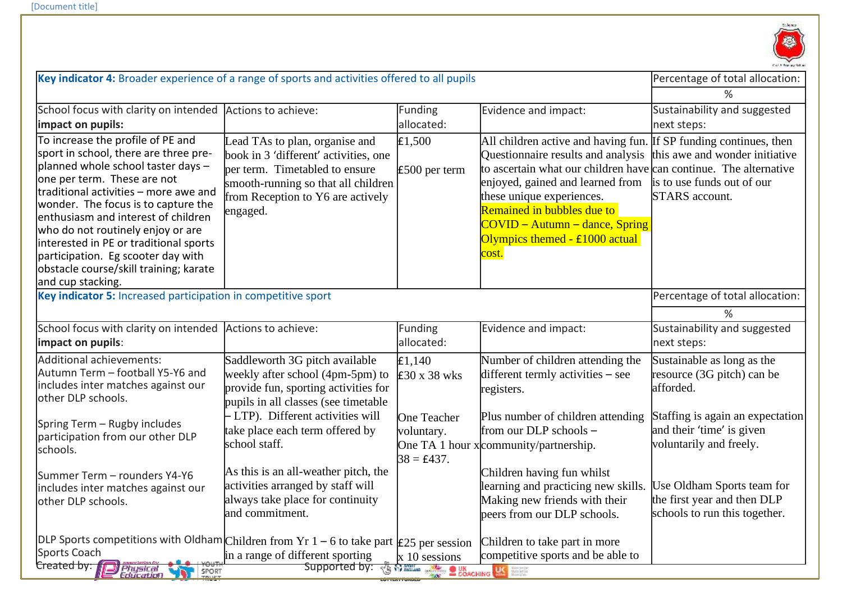

| Key indicator 4: Broader experience of a range of sports and activities offered to all pupils                                                                                                                                                                                                                                                                                                                                                              |                                                                                                                                                                                                                                             |                                                     |                                                                                                                                                                                                                                                                                                                                                                       | Percentage of total allocation:                                                                                                                                   |
|------------------------------------------------------------------------------------------------------------------------------------------------------------------------------------------------------------------------------------------------------------------------------------------------------------------------------------------------------------------------------------------------------------------------------------------------------------|---------------------------------------------------------------------------------------------------------------------------------------------------------------------------------------------------------------------------------------------|-----------------------------------------------------|-----------------------------------------------------------------------------------------------------------------------------------------------------------------------------------------------------------------------------------------------------------------------------------------------------------------------------------------------------------------------|-------------------------------------------------------------------------------------------------------------------------------------------------------------------|
|                                                                                                                                                                                                                                                                                                                                                                                                                                                            |                                                                                                                                                                                                                                             |                                                     |                                                                                                                                                                                                                                                                                                                                                                       | $\%$                                                                                                                                                              |
| School focus with clarity on intended                                                                                                                                                                                                                                                                                                                                                                                                                      | Actions to achieve:                                                                                                                                                                                                                         | Funding                                             | Evidence and impact:                                                                                                                                                                                                                                                                                                                                                  | Sustainability and suggested                                                                                                                                      |
| impact on pupils:                                                                                                                                                                                                                                                                                                                                                                                                                                          |                                                                                                                                                                                                                                             | allocated:                                          |                                                                                                                                                                                                                                                                                                                                                                       | next steps:                                                                                                                                                       |
| To increase the profile of PE and<br>sport in school, there are three pre-<br>planned whole school taster days -<br>one per term. These are not<br>traditional activities - more awe and<br>wonder. The focus is to capture the<br>enthusiasm and interest of children<br>who do not routinely enjoy or are<br>interested in PE or traditional sports<br>participation. Eg scooter day with<br>obstacle course/skill training; karate<br>and cup stacking. | Lead TAs to plan, organise and<br>book in 3 'different' activities, one<br>per term. Timetabled to ensure<br>smooth-running so that all children<br>from Reception to Y6 are actively<br>engaged.                                           | £1,500<br>$£500$ per term                           | All children active and having fun. If SP funding continues, then<br>Questionnaire results and analysis<br>to ascertain what our children have can continue. The alternative<br>enjoyed, gained and learned from<br>these unique experiences.<br>Remained in bubbles due to<br>$\overline{COVID}$ – Autumn – dance, Spring<br>Olympics themed - £1000 actual<br>cost. | this awe and wonder initiative<br>is to use funds out of our<br><b>STARS</b> account.                                                                             |
| Key indicator 5: Increased participation in competitive sport                                                                                                                                                                                                                                                                                                                                                                                              |                                                                                                                                                                                                                                             |                                                     |                                                                                                                                                                                                                                                                                                                                                                       | Percentage of total allocation:                                                                                                                                   |
|                                                                                                                                                                                                                                                                                                                                                                                                                                                            |                                                                                                                                                                                                                                             |                                                     |                                                                                                                                                                                                                                                                                                                                                                       | %                                                                                                                                                                 |
| School focus with clarity on intended                                                                                                                                                                                                                                                                                                                                                                                                                      | Actions to achieve:                                                                                                                                                                                                                         | Funding                                             | Evidence and impact:                                                                                                                                                                                                                                                                                                                                                  | Sustainability and suggested                                                                                                                                      |
| impact on pupils:                                                                                                                                                                                                                                                                                                                                                                                                                                          |                                                                                                                                                                                                                                             | allocated:                                          |                                                                                                                                                                                                                                                                                                                                                                       | next steps:                                                                                                                                                       |
| Additional achievements:<br>Autumn Term - football Y5-Y6 and<br>includes inter matches against our<br>other DLP schools.<br>Spring Term - Rugby includes<br>participation from our other DLP                                                                                                                                                                                                                                                               | Saddleworth 3G pitch available<br>weekly after school (4pm-5pm) to<br>provide fun, sporting activities for<br>pupils in all classes (see timetable<br>- LTP). Different activities will<br>take place each term offered by<br>school staff. | E1,140<br>£30 x 38 wks<br>One Teacher<br>voluntary. | Number of children attending the<br>different termly activities – see<br>registers.<br>Plus number of children attending<br>from our DLP schools -<br>One TA 1 hour x community/partnership.                                                                                                                                                                          | Sustainable as long as the<br>resource (3G pitch) can be<br>afforded.<br>Staffing is again an expectation<br>and their 'time' is given<br>voluntarily and freely. |
| schools.                                                                                                                                                                                                                                                                                                                                                                                                                                                   | As this is an all-weather pitch, the                                                                                                                                                                                                        | $38 = \text{\pounds}437.$                           | Children having fun whilst                                                                                                                                                                                                                                                                                                                                            |                                                                                                                                                                   |
| Summer Term - rounders Y4-Y6<br>includes inter matches against our<br>other DLP schools.                                                                                                                                                                                                                                                                                                                                                                   | activities arranged by staff will<br>always take place for continuity<br>and commitment.                                                                                                                                                    |                                                     | learning and practicing new skills.<br>Making new friends with their<br>peers from our DLP schools.                                                                                                                                                                                                                                                                   | Use Oldham Sports team for<br>the first year and then DLP<br>schools to run this together.                                                                        |
| DLP Sports competitions with Oldham Children from Yr $1-6$ to take part $\vert$ £25 per session<br>Children to take part in more                                                                                                                                                                                                                                                                                                                           |                                                                                                                                                                                                                                             |                                                     |                                                                                                                                                                                                                                                                                                                                                                       |                                                                                                                                                                   |
| Sports Coach<br>Created by:                                                                                                                                                                                                                                                                                                                                                                                                                                | in a range of different sporting                                                                                                                                                                                                            | x 10 sessions                                       | competitive sports and be able to                                                                                                                                                                                                                                                                                                                                     |                                                                                                                                                                   |
| Physical<br>Education<br>SPORT                                                                                                                                                                                                                                                                                                                                                                                                                             | Supported by: 3 \$2.000 and 2 coaching US EEE                                                                                                                                                                                               |                                                     |                                                                                                                                                                                                                                                                                                                                                                       |                                                                                                                                                                   |